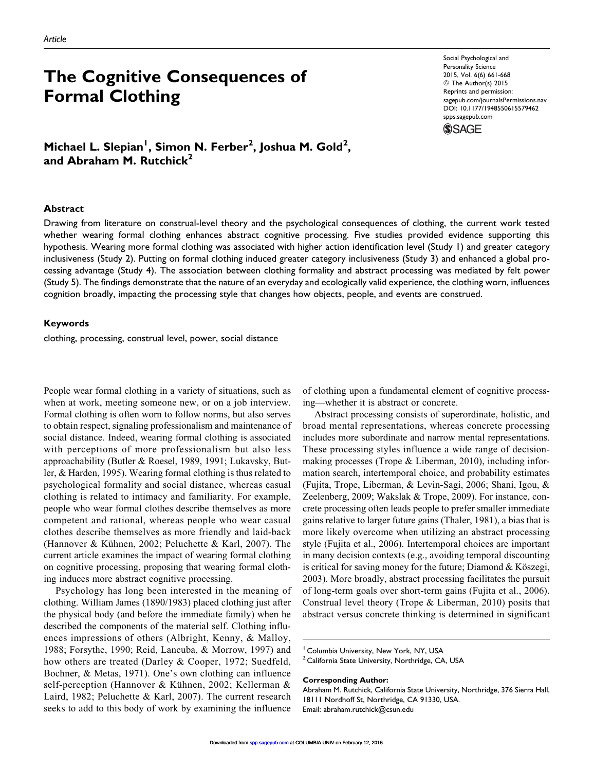# The Cognitive Consequences of Formal Clothing

Social Psychological and Personality Science 2015, Vol. 6(6) 661-668 © The Author(s) 2015 Reprints and permission: [sagepub.com/journalsPermissions.nav](http://www.sagepub.com/journalsPermissions.nav) DOI: 10.1177/1948550615579462 [spps.sagepub.com](http://spps.sagepub.com)



Michael L. Slepian<sup>1</sup>, Simon N. Ferber<sup>2</sup>, Joshua M. Gold<sup>2</sup>, and Abraham M. Rutchick $2$ 

#### Abstract

Drawing from literature on construal-level theory and the psychological consequences of clothing, the current work tested whether wearing formal clothing enhances abstract cognitive processing. Five studies provided evidence supporting this hypothesis. Wearing more formal clothing was associated with higher action identification level (Study 1) and greater category inclusiveness (Study 2). Putting on formal clothing induced greater category inclusiveness (Study 3) and enhanced a global processing advantage (Study 4). The association between clothing formality and abstract processing was mediated by felt power (Study 5). The findings demonstrate that the nature of an everyday and ecologically valid experience, the clothing worn, influences cognition broadly, impacting the processing style that changes how objects, people, and events are construed.

#### Keywords

clothing, processing, construal level, power, social distance

People wear formal clothing in a variety of situations, such as when at work, meeting someone new, or on a job interview. Formal clothing is often worn to follow norms, but also serves to obtain respect, signaling professionalism and maintenance of social distance. Indeed, wearing formal clothing is associated with perceptions of more professionalism but also less approachability (Butler & Roesel, 1989, 1991; Lukavsky, Butler, & Harden, 1995). Wearing formal clothing is thus related to psychological formality and social distance, whereas casual clothing is related to intimacy and familiarity. For example, people who wear formal clothes describe themselves as more competent and rational, whereas people who wear casual clothes describe themselves as more friendly and laid-back (Hannover & Kühnen, 2002; Peluchette & Karl, 2007). The current article examines the impact of wearing formal clothing on cognitive processing, proposing that wearing formal clothing induces more abstract cognitive processing.

Psychology has long been interested in the meaning of clothing. William James (1890/1983) placed clothing just after the physical body (and before the immediate family) when he described the components of the material self. Clothing influences impressions of others (Albright, Kenny, & Malloy, 1988; Forsythe, 1990; Reid, Lancuba, & Morrow, 1997) and how others are treated (Darley & Cooper, 1972; Suedfeld, Bochner, & Metas, 1971). One's own clothing can influence self-perception (Hannover & Kühnen, 2002; Kellerman & Laird, 1982; Peluchette & Karl, 2007). The current research seeks to add to this body of work by examining the influence

of clothing upon a fundamental element of cognitive processing—whether it is abstract or concrete.

Abstract processing consists of superordinate, holistic, and broad mental representations, whereas concrete processing includes more subordinate and narrow mental representations. These processing styles influence a wide range of decisionmaking processes (Trope & Liberman, 2010), including information search, intertemporal choice, and probability estimates (Fujita, Trope, Liberman, & Levin-Sagi, 2006; Shani, Igou, & Zeelenberg, 2009; Wakslak & Trope, 2009). For instance, concrete processing often leads people to prefer smaller immediate gains relative to larger future gains (Thaler, 1981), a bias that is more likely overcome when utilizing an abstract processing style (Fujita et al., 2006). Intertemporal choices are important in many decision contexts (e.g., avoiding temporal discounting is critical for saving money for the future; Diamond  $& K\ddot{o} szegi,$ 2003). More broadly, abstract processing facilitates the pursuit of long-term goals over short-term gains (Fujita et al., 2006). Construal level theory (Trope & Liberman, 2010) posits that abstract versus concrete thinking is determined in significant

#### Corresponding Author:

<sup>&</sup>lt;sup>1</sup> Columbia University, New York, NY, USA

<sup>&</sup>lt;sup>2</sup> California State University, Northridge, CA, USA

Abraham M. Rutchick, California State University, Northridge, 376 Sierra Hall, 18111 Nordhoff St, Northridge, CA 91330, USA. Email: abraham.rutchick@csun.edu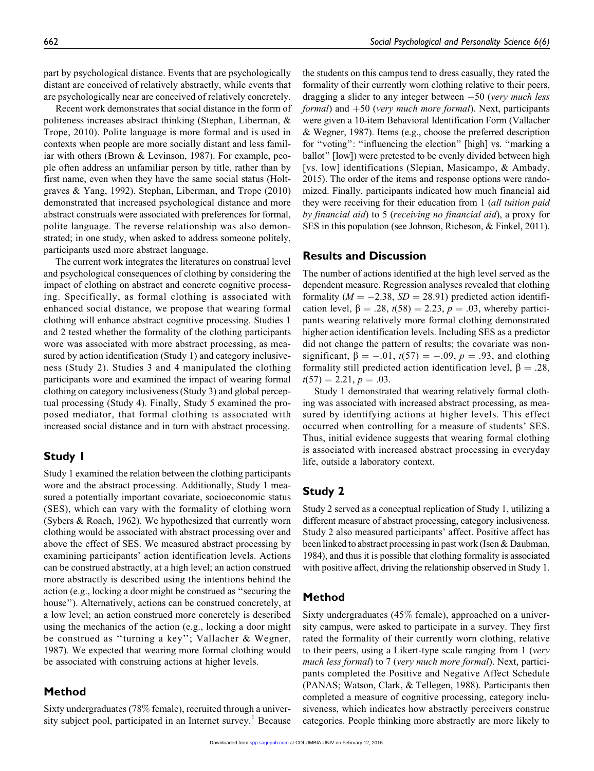part by psychological distance. Events that are psychologically distant are conceived of relatively abstractly, while events that are psychologically near are conceived of relatively concretely.

Recent work demonstrates that social distance in the form of politeness increases abstract thinking (Stephan, Liberman, & Trope, 2010). Polite language is more formal and is used in contexts when people are more socially distant and less familiar with others (Brown & Levinson, 1987). For example, people often address an unfamiliar person by title, rather than by first name, even when they have the same social status (Holtgraves & Yang, 1992). Stephan, Liberman, and Trope (2010) demonstrated that increased psychological distance and more abstract construals were associated with preferences for formal, polite language. The reverse relationship was also demonstrated; in one study, when asked to address someone politely, participants used more abstract language.

The current work integrates the literatures on construal level and psychological consequences of clothing by considering the impact of clothing on abstract and concrete cognitive processing. Specifically, as formal clothing is associated with enhanced social distance, we propose that wearing formal clothing will enhance abstract cognitive processing. Studies 1 and 2 tested whether the formality of the clothing participants wore was associated with more abstract processing, as measured by action identification (Study 1) and category inclusiveness (Study 2). Studies 3 and 4 manipulated the clothing participants wore and examined the impact of wearing formal clothing on category inclusiveness (Study 3) and global perceptual processing (Study 4). Finally, Study 5 examined the proposed mediator, that formal clothing is associated with increased social distance and in turn with abstract processing.

# Study 1

Study 1 examined the relation between the clothing participants wore and the abstract processing. Additionally, Study 1 measured a potentially important covariate, socioeconomic status (SES), which can vary with the formality of clothing worn (Sybers & Roach, 1962). We hypothesized that currently worn clothing would be associated with abstract processing over and above the effect of SES. We measured abstract processing by examining participants' action identification levels. Actions can be construed abstractly, at a high level; an action construed more abstractly is described using the intentions behind the action (e.g., locking a door might be construed as ''securing the house''). Alternatively, actions can be construed concretely, at a low level; an action construed more concretely is described using the mechanics of the action (e.g., locking a door might be construed as ''turning a key''; Vallacher & Wegner, 1987). We expected that wearing more formal clothing would be associated with construing actions at higher levels.

## Method

Sixty undergraduates (78% female), recruited through a university subject pool, participated in an Internet survey.<sup>1</sup> Because

the students on this campus tend to dress casually, they rated the formality of their currently worn clothing relative to their peers, dragging a slider to any integer between -50 (very much less formal) and  $+50$  (very much more formal). Next, participants were given a 10-item Behavioral Identification Form (Vallacher & Wegner, 1987). Items (e.g., choose the preferred description for "voting": "influencing the election" [high] vs. "marking a ballot'' [low]) were pretested to be evenly divided between high [vs. low] identifications (Slepian, Masicampo, & Ambady, 2015). The order of the items and response options were randomized. Finally, participants indicated how much financial aid they were receiving for their education from 1 (all tuition paid by financial aid) to 5 (receiving no financial aid), a proxy for SES in this population (see Johnson, Richeson, & Finkel, 2011).

## Results and Discussion

The number of actions identified at the high level served as the dependent measure. Regression analyses revealed that clothing formality ( $M = -2.38$ ,  $SD = 28.91$ ) predicted action identification level,  $\beta = .28$ ,  $t(58) = 2.23$ ,  $p = .03$ , whereby participants wearing relatively more formal clothing demonstrated higher action identification levels. Including SES as a predictor did not change the pattern of results; the covariate was nonsignificant,  $\beta = -.01$ ,  $t(57) = -.09$ ,  $p = .93$ , and clothing formality still predicted action identification level,  $\beta = .28$ ,  $t(57) = 2.21, p = .03.$ 

Study 1 demonstrated that wearing relatively formal clothing was associated with increased abstract processing, as measured by identifying actions at higher levels. This effect occurred when controlling for a measure of students' SES. Thus, initial evidence suggests that wearing formal clothing is associated with increased abstract processing in everyday life, outside a laboratory context.

# Study 2

Study 2 served as a conceptual replication of Study 1, utilizing a different measure of abstract processing, category inclusiveness. Study 2 also measured participants' affect. Positive affect has been linked to abstract processing in past work (Isen & Daubman, 1984), and thus it is possible that clothing formality is associated with positive affect, driving the relationship observed in Study 1.

# Method

Sixty undergraduates (45% female), approached on a university campus, were asked to participate in a survey. They first rated the formality of their currently worn clothing, relative to their peers, using a Likert-type scale ranging from 1 (very much less formal) to 7 (very much more formal). Next, participants completed the Positive and Negative Affect Schedule (PANAS; Watson, Clark, & Tellegen, 1988). Participants then completed a measure of cognitive processing, category inclusiveness, which indicates how abstractly perceivers construe categories. People thinking more abstractly are more likely to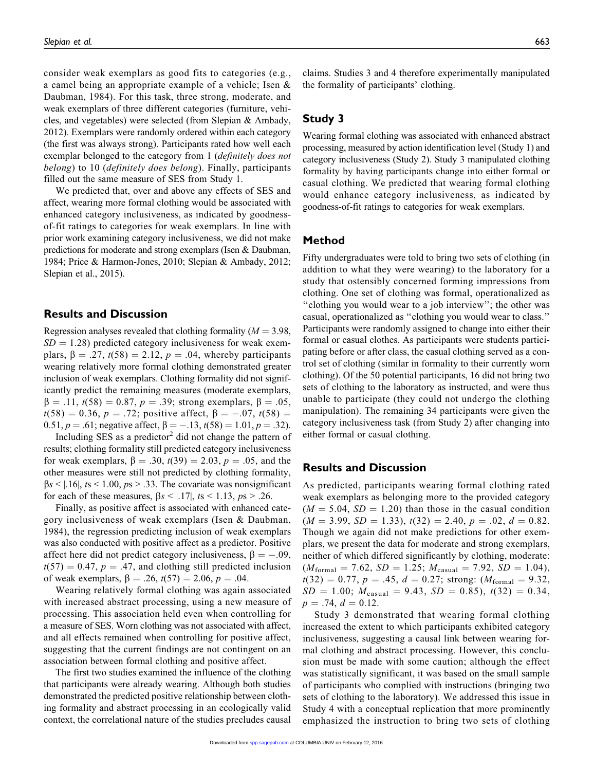consider weak exemplars as good fits to categories (e.g., a camel being an appropriate example of a vehicle; Isen & Daubman, 1984). For this task, three strong, moderate, and weak exemplars of three different categories (furniture, vehicles, and vegetables) were selected (from Slepian & Ambady, 2012). Exemplars were randomly ordered within each category (the first was always strong). Participants rated how well each exemplar belonged to the category from 1 *(definitely does not* belong) to 10 (definitely does belong). Finally, participants filled out the same measure of SES from Study 1.

We predicted that, over and above any effects of SES and affect, wearing more formal clothing would be associated with enhanced category inclusiveness, as indicated by goodnessof-fit ratings to categories for weak exemplars. In line with prior work examining category inclusiveness, we did not make predictions for moderate and strong exemplars (Isen & Daubman, 1984; Price & Harmon-Jones, 2010; Slepian & Ambady, 2012; Slepian et al., 2015).

## Results and Discussion

Regression analyses revealed that clothing formality ( $M = 3.98$ ,  $SD = 1.28$ ) predicted category inclusiveness for weak exemplars,  $\beta = .27$ ,  $t(58) = 2.12$ ,  $p = .04$ , whereby participants wearing relatively more formal clothing demonstrated greater inclusion of weak exemplars. Clothing formality did not significantly predict the remaining measures (moderate exemplars,  $\beta = .11, t(58) = 0.87, p = .39$ ; strong exemplars,  $\beta = .05$ ,  $t(58) = 0.36, p = .72$ ; positive affect,  $\beta = -.07, t(58) =$ 0.51,  $p = .61$ ; negative affect,  $\beta = -.13$ ,  $t(58) = 1.01$ ,  $p = .32$ ).

Including SES as a predictor<sup>2</sup> did not change the pattern of results; clothing formality still predicted category inclusiveness for weak exemplars,  $\beta = .30$ ,  $t(39) = 2.03$ ,  $p = .05$ , and the other measures were still not predicted by clothing formality,  $\beta s$  < | 16|, ts < 1.00, ps > .33. The covariate was nonsignificant for each of these measures,  $\beta s < |.17|$ , ts < 1.13, ps > .26.

Finally, as positive affect is associated with enhanced category inclusiveness of weak exemplars (Isen & Daubman, 1984), the regression predicting inclusion of weak exemplars was also conducted with positive affect as a predictor. Positive affect here did not predict category inclusiveness,  $\beta = -.09$ ,  $t(57) = 0.47$ ,  $p = .47$ , and clothing still predicted inclusion of weak exemplars,  $\beta = .26$ ,  $t(57) = 2.06$ ,  $p = .04$ .

Wearing relatively formal clothing was again associated with increased abstract processing, using a new measure of processing. This association held even when controlling for a measure of SES. Worn clothing was not associated with affect, and all effects remained when controlling for positive affect, suggesting that the current findings are not contingent on an association between formal clothing and positive affect.

The first two studies examined the influence of the clothing that participants were already wearing. Although both studies demonstrated the predicted positive relationship between clothing formality and abstract processing in an ecologically valid context, the correlational nature of the studies precludes causal

claims. Studies 3 and 4 therefore experimentally manipulated the formality of participants' clothing.

# Study 3

Wearing formal clothing was associated with enhanced abstract processing, measured by action identification level (Study 1) and category inclusiveness (Study 2). Study 3 manipulated clothing formality by having participants change into either formal or casual clothing. We predicted that wearing formal clothing would enhance category inclusiveness, as indicated by goodness-of-fit ratings to categories for weak exemplars.

#### Method

Fifty undergraduates were told to bring two sets of clothing (in addition to what they were wearing) to the laboratory for a study that ostensibly concerned forming impressions from clothing. One set of clothing was formal, operationalized as ''clothing you would wear to a job interview''; the other was casual, operationalized as ''clothing you would wear to class.'' Participants were randomly assigned to change into either their formal or casual clothes. As participants were students participating before or after class, the casual clothing served as a control set of clothing (similar in formality to their currently worn clothing). Of the 50 potential participants, 16 did not bring two sets of clothing to the laboratory as instructed, and were thus unable to participate (they could not undergo the clothing manipulation). The remaining 34 participants were given the category inclusiveness task (from Study 2) after changing into either formal or casual clothing.

#### Results and Discussion

As predicted, participants wearing formal clothing rated weak exemplars as belonging more to the provided category  $(M = 5.04, SD = 1.20)$  than those in the casual condition  $(M = 3.99, SD = 1.33), t(32) = 2.40, p = .02, d = 0.82.$ Though we again did not make predictions for other exemplars, we present the data for moderate and strong exemplars, neither of which differed significantly by clothing, moderate:  $(M_{\text{formal}} = 7.62, SD = 1.25; M_{\text{casual}} = 7.92, SD = 1.04),$  $t(32) = 0.77$ ,  $p = .45$ ,  $d = 0.27$ ; strong:  $(M_{\text{formal}} = 9.32)$ ,  $SD = 1.00; M_{\text{casual}} = 9.43, SD = 0.85, t(32) = 0.34,$  $p = .74, d = 0.12.$ 

Study 3 demonstrated that wearing formal clothing increased the extent to which participants exhibited category inclusiveness, suggesting a causal link between wearing formal clothing and abstract processing. However, this conclusion must be made with some caution; although the effect was statistically significant, it was based on the small sample of participants who complied with instructions (bringing two sets of clothing to the laboratory). We addressed this issue in Study 4 with a conceptual replication that more prominently emphasized the instruction to bring two sets of clothing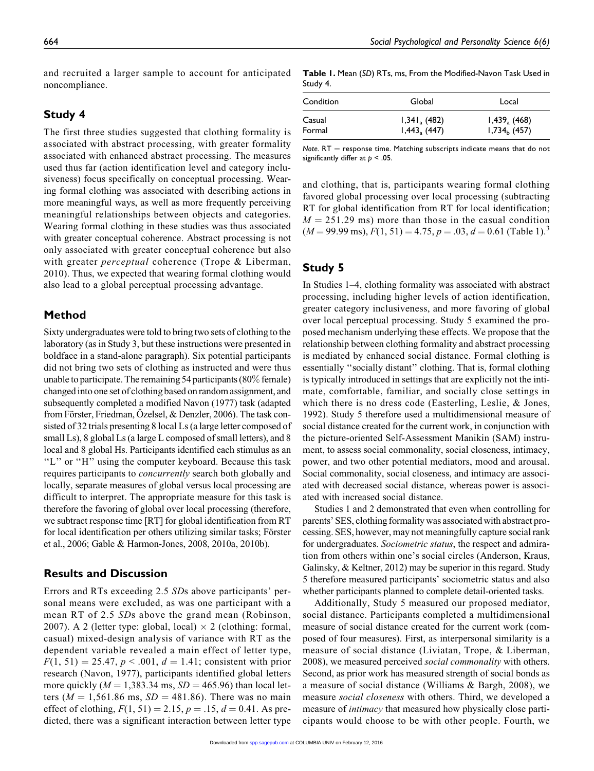and recruited a larger sample to account for anticipated noncompliance.

# Study 4

The first three studies suggested that clothing formality is associated with abstract processing, with greater formality associated with enhanced abstract processing. The measures used thus far (action identification level and category inclusiveness) focus specifically on conceptual processing. Wearing formal clothing was associated with describing actions in more meaningful ways, as well as more frequently perceiving meaningful relationships between objects and categories. Wearing formal clothing in these studies was thus associated with greater conceptual coherence. Abstract processing is not only associated with greater conceptual coherence but also with greater *perceptual* coherence (Trope & Liberman, 2010). Thus, we expected that wearing formal clothing would also lead to a global perceptual processing advantage.

## Method

Sixty undergraduates were told to bring two sets of clothing to the laboratory (as in Study 3, but these instructions were presented in boldface in a stand-alone paragraph). Six potential participants did not bring two sets of clothing as instructed and were thus unable to participate. The remaining 54 participants (80% female) changed into one set of clothing based on random assignment, and subsequently completed a modified Navon (1977) task (adapted from Förster, Friedman, Özelsel, & Denzler, 2006). The task consisted of 32 trials presenting 8 local Ls (a large letter composed of small Ls), 8 global Ls (a large L composed of small letters), and 8 local and 8 global Hs. Participants identified each stimulus as an "L" or "H" using the computer keyboard. Because this task requires participants to *concurrently* search both globally and locally, separate measures of global versus local processing are difficult to interpret. The appropriate measure for this task is therefore the favoring of global over local processing (therefore, we subtract response time [RT] for global identification from RT for local identification per others utilizing similar tasks; Förster et al., 2006; Gable & Harmon-Jones, 2008, 2010a, 2010b).

### Results and Discussion

Errors and RTs exceeding 2.5 SDs above participants' personal means were excluded, as was one participant with a mean RT of 2.5 SDs above the grand mean (Robinson, 2007). A 2 (letter type: global, local)  $\times$  2 (clothing: formal, casual) mixed-design analysis of variance with RT as the dependent variable revealed a main effect of letter type,  $F(1, 51) = 25.47, p < .001, d = 1.41$ ; consistent with prior research (Navon, 1977), participants identified global letters more quickly ( $M = 1,383.34$  ms,  $SD = 465.96$ ) than local letters ( $M = 1,561.86$  ms,  $SD = 481.86$ ). There was no main effect of clothing,  $F(1, 51) = 2.15$ ,  $p = .15$ ,  $d = 0.41$ . As predicted, there was a significant interaction between letter type

Table 1. Mean (SD) RTs, ms, From the Modified-Navon Task Used in Study 4.

| Condition | Global            | Local          |  |
|-----------|-------------------|----------------|--|
| Casual    | $1,341_{a}$ (482) | $1,439a$ (468) |  |
| Formal    | 1,443, (447)      | $1,734b$ (457) |  |

Note.  $RT =$  response time. Matching subscripts indicate means that do not significantly differ at  $p < .05$ .

and clothing, that is, participants wearing formal clothing favored global processing over local processing (subtracting RT for global identification from RT for local identification;  $M = 251.29$  ms) more than those in the casual condition  $(M = 99.99 \text{ ms})$ ,  $F(1, 51) = 4.75$ ,  $p = .03$ ,  $d = 0.61$  (Table 1).<sup>3</sup>

# Study 5

In Studies 1–4, clothing formality was associated with abstract processing, including higher levels of action identification, greater category inclusiveness, and more favoring of global over local perceptual processing. Study 5 examined the proposed mechanism underlying these effects. We propose that the relationship between clothing formality and abstract processing is mediated by enhanced social distance. Formal clothing is essentially ''socially distant'' clothing. That is, formal clothing is typically introduced in settings that are explicitly not the intimate, comfortable, familiar, and socially close settings in which there is no dress code (Easterling, Leslie, & Jones, 1992). Study 5 therefore used a multidimensional measure of social distance created for the current work, in conjunction with the picture-oriented Self-Assessment Manikin (SAM) instrument, to assess social commonality, social closeness, intimacy, power, and two other potential mediators, mood and arousal. Social commonality, social closeness, and intimacy are associated with decreased social distance, whereas power is associated with increased social distance.

Studies 1 and 2 demonstrated that even when controlling for parents' SES, clothing formality was associated with abstract processing. SES, however, may not meaningfully capture social rank for undergraduates. Sociometric status, the respect and admiration from others within one's social circles (Anderson, Kraus, Galinsky, & Keltner, 2012) may be superior in this regard. Study 5 therefore measured participants' sociometric status and also whether participants planned to complete detail-oriented tasks.

Additionally, Study 5 measured our proposed mediator, social distance. Participants completed a multidimensional measure of social distance created for the current work (composed of four measures). First, as interpersonal similarity is a measure of social distance (Liviatan, Trope, & Liberman, 2008), we measured perceived social commonality with others. Second, as prior work has measured strength of social bonds as a measure of social distance (Williams & Bargh, 2008), we measure social closeness with others. Third, we developed a measure of *intimacy* that measured how physically close participants would choose to be with other people. Fourth, we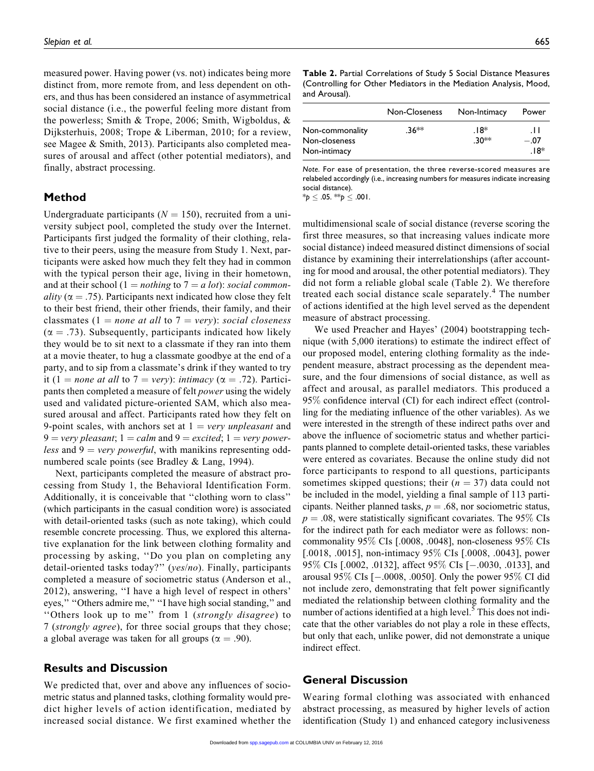measured power. Having power (vs. not) indicates being more distinct from, more remote from, and less dependent on others, and thus has been considered an instance of asymmetrical social distance (i.e., the powerful feeling more distant from the powerless; Smith & Trope, 2006; Smith, Wigboldus, & Dijksterhuis, 2008; Trope & Liberman, 2010; for a review, see Magee & Smith, 2013). Participants also completed measures of arousal and affect (other potential mediators), and finally, abstract processing.

### Method

Undergraduate participants ( $N = 150$ ), recruited from a university subject pool, completed the study over the Internet. Participants first judged the formality of their clothing, relative to their peers, using the measure from Study 1. Next, participants were asked how much they felt they had in common with the typical person their age, living in their hometown, and at their school (1 = nothing to 7 = a lot): social commonality ( $\alpha = .75$ ). Participants next indicated how close they felt to their best friend, their other friends, their family, and their classmates (1 = none at all to 7 = very): social closeness  $(\alpha = .73)$ . Subsequently, participants indicated how likely they would be to sit next to a classmate if they ran into them at a movie theater, to hug a classmate goodbye at the end of a party, and to sip from a classmate's drink if they wanted to try it (1 = none at all to 7 = very): intimacy ( $\alpha$  = .72). Participants then completed a measure of felt power using the widely used and validated picture-oriented SAM, which also measured arousal and affect. Participants rated how they felt on 9-point scales, with anchors set at  $1 = \text{very unpleasant}$  and  $9 = \text{very pleasant}; 1 = \text{calm}$  and  $9 = \text{excited}; 1 = \text{very power-}$ less and  $9 = \text{very powerful},$  with manikins representing oddnumbered scale points (see Bradley & Lang, 1994).

Next, participants completed the measure of abstract processing from Study 1, the Behavioral Identification Form. Additionally, it is conceivable that ''clothing worn to class'' (which participants in the casual condition wore) is associated with detail-oriented tasks (such as note taking), which could resemble concrete processing. Thus, we explored this alternative explanation for the link between clothing formality and processing by asking, ''Do you plan on completing any detail-oriented tasks today?" (yes/no). Finally, participants completed a measure of sociometric status (Anderson et al., 2012), answering, ''I have a high level of respect in others' eyes,'' ''Others admire me,'' ''I have high social standing,'' and ''Others look up to me'' from 1 (strongly disagree) to 7 (strongly agree), for three social groups that they chose; a global average was taken for all groups ( $\alpha = .90$ ).

### Results and Discussion

We predicted that, over and above any influences of sociometric status and planned tasks, clothing formality would predict higher levels of action identification, mediated by increased social distance. We first examined whether the Table 2. Partial Correlations of Study 5 Social Distance Measures (Controlling for Other Mediators in the Mediation Analysis, Mood, and Arousal).

|                                                  | Non-Closeness | Non-Intimacy    | Power                |
|--------------------------------------------------|---------------|-----------------|----------------------|
| Non-commonality<br>Non-closeness<br>Non-intimacy | .36**         | .18*<br>$.30**$ | .H<br>$-.07$<br>.18* |

Note. For ease of presentation, the three reverse-scored measures are relabeled accordingly (i.e., increasing numbers for measures indicate increasing social distance).

 $*_{p} \leq .05$ .  $*_{p} \leq .001$ .

multidimensional scale of social distance (reverse scoring the first three measures, so that increasing values indicate more social distance) indeed measured distinct dimensions of social distance by examining their interrelationships (after accounting for mood and arousal, the other potential mediators). They did not form a reliable global scale (Table 2). We therefore treated each social distance scale separately.<sup>4</sup> The number of actions identified at the high level served as the dependent measure of abstract processing.

We used Preacher and Hayes' (2004) bootstrapping technique (with 5,000 iterations) to estimate the indirect effect of our proposed model, entering clothing formality as the independent measure, abstract processing as the dependent measure, and the four dimensions of social distance, as well as affect and arousal, as parallel mediators. This produced a 95% confidence interval (CI) for each indirect effect (controlling for the mediating influence of the other variables). As we were interested in the strength of these indirect paths over and above the influence of sociometric status and whether participants planned to complete detail-oriented tasks, these variables were entered as covariates. Because the online study did not force participants to respond to all questions, participants sometimes skipped questions; their ( $n = 37$ ) data could not be included in the model, yielding a final sample of 113 participants. Neither planned tasks,  $p = .68$ , nor sociometric status,  $p = .08$ , were statistically significant covariates. The 95% CIs for the indirect path for each mediator were as follows: noncommonality 95% CIs [.0008, .0048], non-closeness 95% CIs [.0018, .0015], non-intimacy 95% CIs [.0008, .0043], power 95% CIs [.0002, .0132], affect 95% CIs [-.0030, .0133], and arousal 95% CIs [-.0008, .0050]. Only the power 95% CI did not include zero, demonstrating that felt power significantly mediated the relationship between clothing formality and the number of actions identified at a high level.<sup>5</sup> This does not indicate that the other variables do not play a role in these effects, but only that each, unlike power, did not demonstrate a unique indirect effect.

#### General Discussion

Wearing formal clothing was associated with enhanced abstract processing, as measured by higher levels of action identification (Study 1) and enhanced category inclusiveness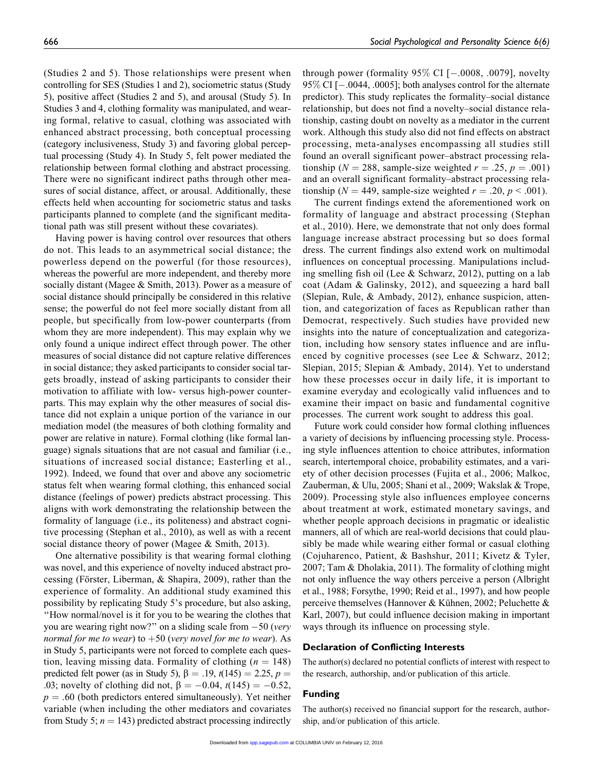(Studies 2 and 5). Those relationships were present when controlling for SES (Studies 1 and 2), sociometric status (Study 5), positive affect (Studies 2 and 5), and arousal (Study 5). In Studies 3 and 4, clothing formality was manipulated, and wearing formal, relative to casual, clothing was associated with enhanced abstract processing, both conceptual processing (category inclusiveness, Study 3) and favoring global perceptual processing (Study 4). In Study 5, felt power mediated the relationship between formal clothing and abstract processing. There were no significant indirect paths through other measures of social distance, affect, or arousal. Additionally, these effects held when accounting for sociometric status and tasks participants planned to complete (and the significant meditational path was still present without these covariates).

Having power is having control over resources that others do not. This leads to an asymmetrical social distance; the powerless depend on the powerful (for those resources), whereas the powerful are more independent, and thereby more socially distant (Magee & Smith, 2013). Power as a measure of social distance should principally be considered in this relative sense; the powerful do not feel more socially distant from all people, but specifically from low-power counterparts (from whom they are more independent). This may explain why we only found a unique indirect effect through power. The other measures of social distance did not capture relative differences in social distance; they asked participants to consider social targets broadly, instead of asking participants to consider their motivation to affiliate with low- versus high-power counterparts. This may explain why the other measures of social distance did not explain a unique portion of the variance in our mediation model (the measures of both clothing formality and power are relative in nature). Formal clothing (like formal language) signals situations that are not casual and familiar (i.e., situations of increased social distance; Easterling et al., 1992). Indeed, we found that over and above any sociometric status felt when wearing formal clothing, this enhanced social distance (feelings of power) predicts abstract processing. This aligns with work demonstrating the relationship between the formality of language (i.e., its politeness) and abstract cognitive processing (Stephan et al., 2010), as well as with a recent social distance theory of power (Magee & Smith, 2013).

One alternative possibility is that wearing formal clothing was novel, and this experience of novelty induced abstract processing (Förster, Liberman,  $\&$  Shapira, 2009), rather than the experience of formality. An additional study examined this possibility by replicating Study 5's procedure, but also asking, ''How normal/novel is it for you to be wearing the clothes that you are wearing right now?" on a sliding scale from  $-50$  (very normal for me to wear) to  $+50$  (very novel for me to wear). As in Study 5, participants were not forced to complete each question, leaving missing data. Formality of clothing ( $n = 148$ ) predicted felt power (as in Study 5),  $\beta = .19$ ,  $t(145) = 2.25$ ,  $p =$ .03; novelty of clothing did not,  $\beta = -0.04$ ,  $t(145) = -0.52$ ,  $p = .60$  (both predictors entered simultaneously). Yet neither variable (when including the other mediators and covariates from Study 5;  $n = 143$ ) predicted abstract processing indirectly

through power (formality  $95\%$  CI [ $-.0008, .0079$ ], novelty 95% CI [-.0044, .0005]; both analyses control for the alternate predictor). This study replicates the formality–social distance relationship, but does not find a novelty–social distance relationship, casting doubt on novelty as a mediator in the current work. Although this study also did not find effects on abstract processing, meta-analyses encompassing all studies still found an overall significant power–abstract processing relationship ( $N = 288$ , sample-size weighted  $r = .25$ ,  $p = .001$ ) and an overall significant formality–abstract processing relationship ( $N = 449$ , sample-size weighted  $r = .20, p < .001$ ).

The current findings extend the aforementioned work on formality of language and abstract processing (Stephan et al., 2010). Here, we demonstrate that not only does formal language increase abstract processing but so does formal dress. The current findings also extend work on multimodal influences on conceptual processing. Manipulations including smelling fish oil (Lee & Schwarz, 2012), putting on a lab coat (Adam & Galinsky, 2012), and squeezing a hard ball (Slepian, Rule, & Ambady, 2012), enhance suspicion, attention, and categorization of faces as Republican rather than Democrat, respectively. Such studies have provided new insights into the nature of conceptualization and categorization, including how sensory states influence and are influenced by cognitive processes (see Lee & Schwarz, 2012; Slepian, 2015; Slepian & Ambady, 2014). Yet to understand how these processes occur in daily life, it is important to examine everyday and ecologically valid influences and to examine their impact on basic and fundamental cognitive processes. The current work sought to address this goal.

Future work could consider how formal clothing influences a variety of decisions by influencing processing style. Processing style influences attention to choice attributes, information search, intertemporal choice, probability estimates, and a variety of other decision processes (Fujita et al., 2006; Malkoc, Zauberman, & Ulu, 2005; Shani et al., 2009; Wakslak & Trope, 2009). Processing style also influences employee concerns about treatment at work, estimated monetary savings, and whether people approach decisions in pragmatic or idealistic manners, all of which are real-world decisions that could plausibly be made while wearing either formal or casual clothing (Cojuharenco, Patient, & Bashshur, 2011; Kivetz & Tyler, 2007; Tam & Dholakia, 2011). The formality of clothing might not only influence the way others perceive a person (Albright et al., 1988; Forsythe, 1990; Reid et al., 1997), and how people perceive themselves (Hannover & Kühnen, 2002; Peluchette & Karl, 2007), but could influence decision making in important ways through its influence on processing style.

#### Declaration of Conflicting Interests

The author(s) declared no potential conflicts of interest with respect to the research, authorship, and/or publication of this article.

#### Funding

The author(s) received no financial support for the research, authorship, and/or publication of this article.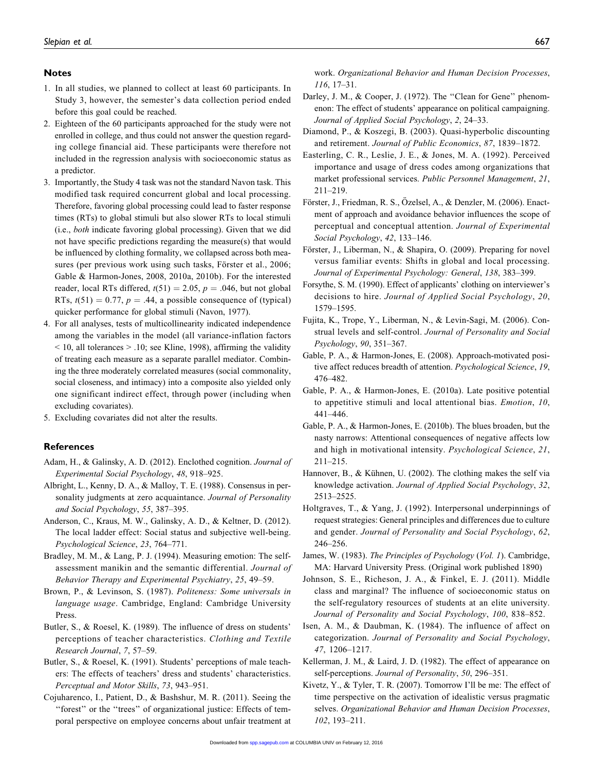#### Notes

- 1. In all studies, we planned to collect at least 60 participants. In Study 3, however, the semester's data collection period ended before this goal could be reached.
- 2. Eighteen of the 60 participants approached for the study were not enrolled in college, and thus could not answer the question regarding college financial aid. These participants were therefore not included in the regression analysis with socioeconomic status as a predictor.
- 3. Importantly, the Study 4 task was not the standard Navon task. This modified task required concurrent global and local processing. Therefore, favoring global processing could lead to faster response times (RTs) to global stimuli but also slower RTs to local stimuli (i.e., both indicate favoring global processing). Given that we did not have specific predictions regarding the measure(s) that would be influenced by clothing formality, we collapsed across both measures (per previous work using such tasks, Förster et al., 2006; Gable & Harmon-Jones, 2008, 2010a, 2010b). For the interested reader, local RTs differed,  $t(51) = 2.05$ ,  $p = .046$ , but not global RTs,  $t(51) = 0.77$ ,  $p = .44$ , a possible consequence of (typical) quicker performance for global stimuli (Navon, 1977).
- 4. For all analyses, tests of multicollinearity indicated independence among the variables in the model (all variance-inflation factors  $<$  10, all tolerances  $>$  10; see Kline, 1998), affirming the validity of treating each measure as a separate parallel mediator. Combining the three moderately correlated measures (social commonality, social closeness, and intimacy) into a composite also yielded only one significant indirect effect, through power (including when excluding covariates).
- 5. Excluding covariates did not alter the results.

#### References

- Adam, H., & Galinsky, A. D. (2012). Enclothed cognition. Journal of Experimental Social Psychology, 48, 918–925.
- Albright, L., Kenny, D. A., & Malloy, T. E. (1988). Consensus in personality judgments at zero acquaintance. Journal of Personality and Social Psychology, 55, 387–395.
- Anderson, C., Kraus, M. W., Galinsky, A. D., & Keltner, D. (2012). The local ladder effect: Social status and subjective well-being. Psychological Science, 23, 764–771.
- Bradley, M. M., & Lang, P. J. (1994). Measuring emotion: The selfassessment manikin and the semantic differential. Journal of Behavior Therapy and Experimental Psychiatry, 25, 49–59.
- Brown, P., & Levinson, S. (1987). Politeness: Some universals in language usage. Cambridge, England: Cambridge University Press.
- Butler, S., & Roesel, K. (1989). The influence of dress on students' perceptions of teacher characteristics. Clothing and Textile Research Journal, 7, 57–59.
- Butler, S., & Roesel, K. (1991). Students' perceptions of male teachers: The effects of teachers' dress and students' characteristics. Perceptual and Motor Skills, 73, 943–951.
- Cojuharenco, I., Patient, D., & Bashshur, M. R. (2011). Seeing the ''forest'' or the ''trees'' of organizational justice: Effects of temporal perspective on employee concerns about unfair treatment at

work. Organizational Behavior and Human Decision Processes, 116, 17–31.

- Darley, J. M., & Cooper, J. (1972). The "Clean for Gene" phenomenon: The effect of students' appearance on political campaigning. Journal of Applied Social Psychology, 2, 24–33.
- Diamond, P., & Koszegi, B. (2003). Quasi-hyperbolic discounting and retirement. Journal of Public Economics, 87, 1839–1872.
- Easterling, C. R., Leslie, J. E., & Jones, M. A. (1992). Perceived importance and usage of dress codes among organizations that market professional services. Public Personnel Management, 21, 211–219.
- Förster, J., Friedman, R. S., Özelsel, A., & Denzler, M. (2006). Enactment of approach and avoidance behavior influences the scope of perceptual and conceptual attention. Journal of Experimental Social Psychology, 42, 133–146.
- Förster, J., Liberman, N., & Shapira, O. (2009). Preparing for novel versus familiar events: Shifts in global and local processing. Journal of Experimental Psychology: General, 138, 383–399.
- Forsythe, S. M. (1990). Effect of applicants' clothing on interviewer's decisions to hire. Journal of Applied Social Psychology, 20, 1579–1595.
- Fujita, K., Trope, Y., Liberman, N., & Levin-Sagi, M. (2006). Construal levels and self-control. Journal of Personality and Social Psychology, 90, 351–367.
- Gable, P. A., & Harmon-Jones, E. (2008). Approach-motivated positive affect reduces breadth of attention. Psychological Science, 19, 476–482.
- Gable, P. A., & Harmon-Jones, E. (2010a). Late positive potential to appetitive stimuli and local attentional bias. Emotion, 10, 441–446.
- Gable, P. A., & Harmon-Jones, E. (2010b). The blues broaden, but the nasty narrows: Attentional consequences of negative affects low and high in motivational intensity. Psychological Science, 21, 211–215.
- Hannover, B., & Kühnen, U. (2002). The clothing makes the self via knowledge activation. Journal of Applied Social Psychology, 32, 2513–2525.
- Holtgraves, T., & Yang, J. (1992). Interpersonal underpinnings of request strategies: General principles and differences due to culture and gender. Journal of Personality and Social Psychology, 62, 246–256.
- James, W. (1983). The Principles of Psychology (Vol. 1). Cambridge, MA: Harvard University Press. (Original work published 1890)
- Johnson, S. E., Richeson, J. A., & Finkel, E. J. (2011). Middle class and marginal? The influence of socioeconomic status on the self-regulatory resources of students at an elite university. Journal of Personality and Social Psychology, 100, 838–852.
- Isen, A. M., & Daubman, K. (1984). The influence of affect on categorization. Journal of Personality and Social Psychology, 47, 1206–1217.
- Kellerman, J. M., & Laird, J. D. (1982). The effect of appearance on self-perceptions. Journal of Personality, 50, 296–351.
- Kivetz, Y., & Tyler, T. R. (2007). Tomorrow I'll be me: The effect of time perspective on the activation of idealistic versus pragmatic selves. Organizational Behavior and Human Decision Processes, 102, 193–211.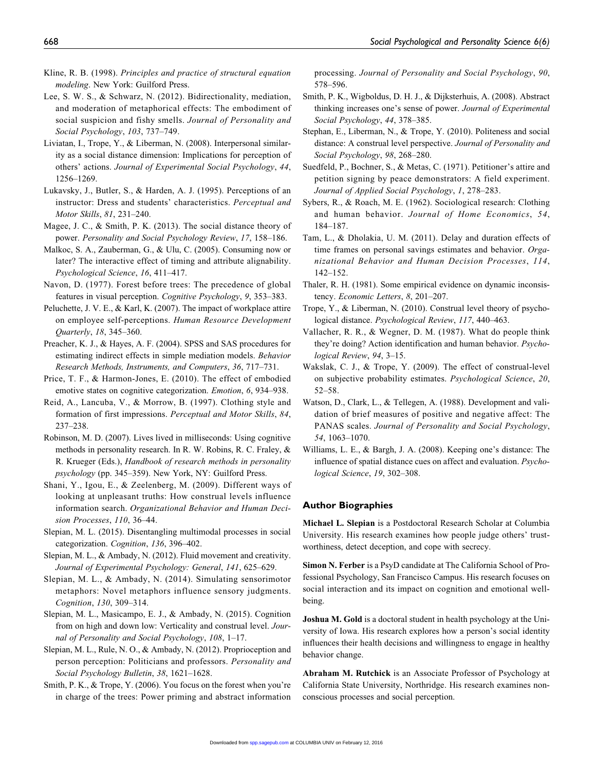- Kline, R. B. (1998). Principles and practice of structural equation modeling. New York: Guilford Press.
- Lee, S. W. S., & Schwarz, N. (2012). Bidirectionality, mediation, and moderation of metaphorical effects: The embodiment of social suspicion and fishy smells. Journal of Personality and Social Psychology, 103, 737–749.
- Liviatan, I., Trope, Y., & Liberman, N. (2008). Interpersonal similarity as a social distance dimension: Implications for perception of others' actions. Journal of Experimental Social Psychology, 44, 1256–1269.
- Lukavsky, J., Butler, S., & Harden, A. J. (1995). Perceptions of an instructor: Dress and students' characteristics. Perceptual and Motor Skills, 81, 231–240.
- Magee, J. C., & Smith, P. K. (2013). The social distance theory of power. Personality and Social Psychology Review, 17, 158–186.
- Malkoc, S. A., Zauberman, G., & Ulu, C. (2005). Consuming now or later? The interactive effect of timing and attribute alignability. Psychological Science, 16, 411–417.
- Navon, D. (1977). Forest before trees: The precedence of global features in visual perception. Cognitive Psychology, 9, 353–383.
- Peluchette, J. V. E., & Karl, K. (2007). The impact of workplace attire on employee self-perceptions. Human Resource Development Quarterly, 18, 345–360.
- Preacher, K. J., & Hayes, A. F. (2004). SPSS and SAS procedures for estimating indirect effects in simple mediation models. Behavior Research Methods, Instruments, and Computers, 36, 717–731.
- Price, T. F., & Harmon-Jones, E. (2010). The effect of embodied emotive states on cognitive categorization. Emotion, 6, 934–938.
- Reid, A., Lancuba, V., & Morrow, B. (1997). Clothing style and formation of first impressions. Perceptual and Motor Skills, 84, 237–238.
- Robinson, M. D. (2007). Lives lived in milliseconds: Using cognitive methods in personality research. In R. W. Robins, R. C. Fraley, & R. Krueger (Eds.), Handbook of research methods in personality psychology (pp. 345–359). New York, NY: Guilford Press.
- Shani, Y., Igou, E., & Zeelenberg, M. (2009). Different ways of looking at unpleasant truths: How construal levels influence information search. Organizational Behavior and Human Decision Processes, 110, 36–44.
- Slepian, M. L. (2015). Disentangling multimodal processes in social categorization. Cognition, 136, 396–402.
- Slepian, M. L., & Ambady, N. (2012). Fluid movement and creativity. Journal of Experimental Psychology: General, 141, 625–629.
- Slepian, M. L., & Ambady, N. (2014). Simulating sensorimotor metaphors: Novel metaphors influence sensory judgments. Cognition, 130, 309–314.
- Slepian, M. L., Masicampo, E. J., & Ambady, N. (2015). Cognition from on high and down low: Verticality and construal level. Journal of Personality and Social Psychology, 108, 1–17.
- Slepian, M. L., Rule, N. O., & Ambady, N. (2012). Proprioception and person perception: Politicians and professors. Personality and Social Psychology Bulletin, 38, 1621–1628.
- Smith, P. K., & Trope, Y. (2006). You focus on the forest when you're in charge of the trees: Power priming and abstract information

processing. Journal of Personality and Social Psychology, 90, 578–596.

- Smith, P. K., Wigboldus, D. H. J., & Dijksterhuis, A. (2008). Abstract thinking increases one's sense of power. Journal of Experimental Social Psychology, 44, 378–385.
- Stephan, E., Liberman, N., & Trope, Y. (2010). Politeness and social distance: A construal level perspective. Journal of Personality and Social Psychology, 98, 268–280.
- Suedfeld, P., Bochner, S., & Metas, C. (1971). Petitioner's attire and petition signing by peace demonstrators: A field experiment. Journal of Applied Social Psychology, 1, 278–283.
- Sybers, R., & Roach, M. E. (1962). Sociological research: Clothing and human behavior. Journal of Home Economics, 54, 184–187.
- Tam, L., & Dholakia, U. M. (2011). Delay and duration effects of time frames on personal savings estimates and behavior. Organizational Behavior and Human Decision Processes, 114, 142–152.
- Thaler, R. H. (1981). Some empirical evidence on dynamic inconsistency. Economic Letters, 8, 201–207.
- Trope, Y., & Liberman, N. (2010). Construal level theory of psychological distance. Psychological Review, 117, 440–463.
- Vallacher, R. R., & Wegner, D. M. (1987). What do people think they're doing? Action identification and human behavior. Psychological Review, 94, 3–15.
- Wakslak, C. J., & Trope, Y. (2009). The effect of construal-level on subjective probability estimates. Psychological Science, 20, 52–58.
- Watson, D., Clark, L., & Tellegen, A. (1988). Development and validation of brief measures of positive and negative affect: The PANAS scales. Journal of Personality and Social Psychology, 54, 1063–1070.
- Williams, L. E., & Bargh, J. A. (2008). Keeping one's distance: The influence of spatial distance cues on affect and evaluation. Psychological Science, 19, 302–308.

## Author Biographies

Michael L. Slepian is a Postdoctoral Research Scholar at Columbia University. His research examines how people judge others' trustworthiness, detect deception, and cope with secrecy.

Simon N. Ferber is a PsyD candidate at The California School of Professional Psychology, San Francisco Campus. His research focuses on social interaction and its impact on cognition and emotional wellbeing.

Joshua M. Gold is a doctoral student in health psychology at the University of Iowa. His research explores how a person's social identity influences their health decisions and willingness to engage in healthy behavior change.

Abraham M. Rutchick is an Associate Professor of Psychology at California State University, Northridge. His research examines nonconscious processes and social perception.